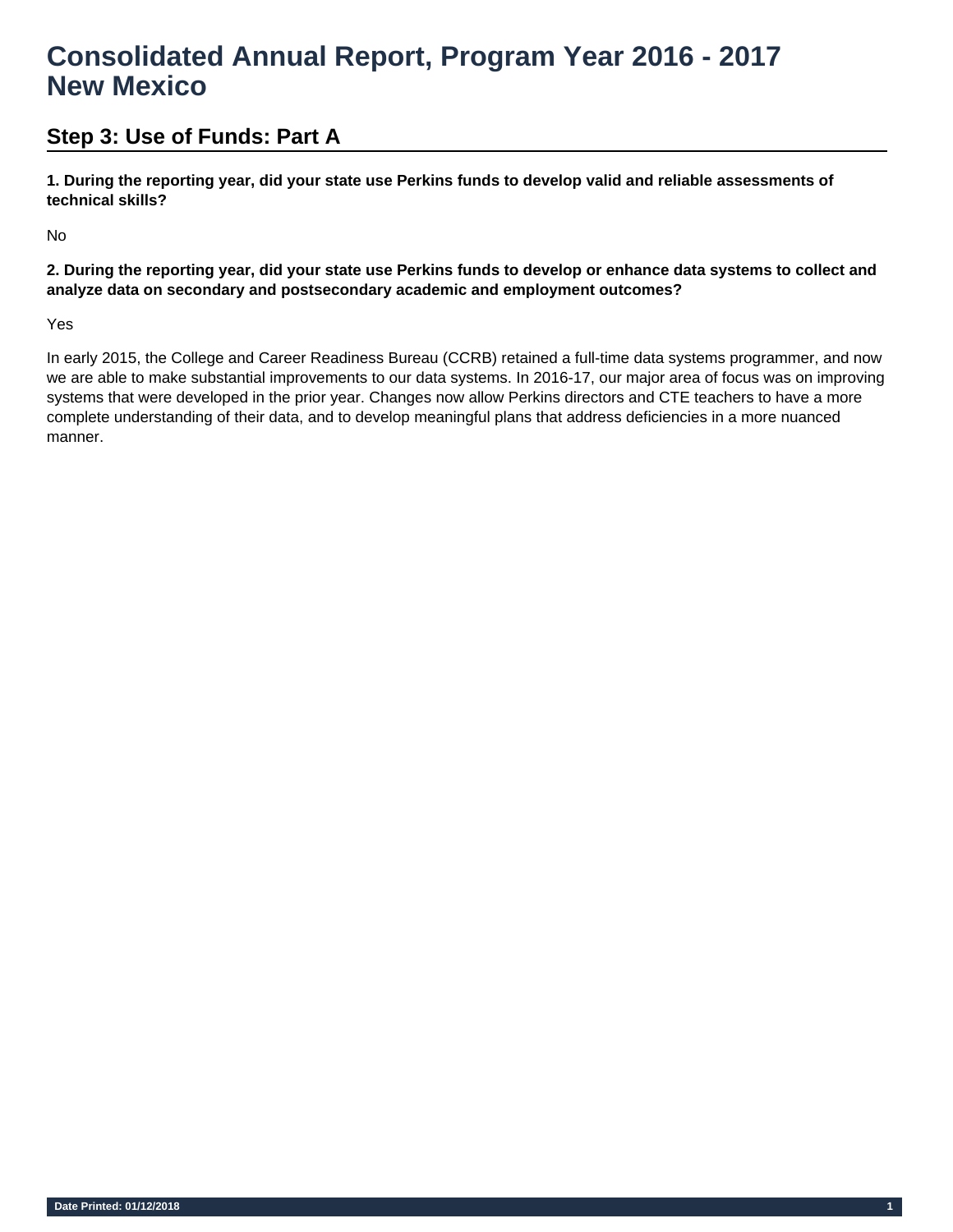# **Step 3: Use of Funds: Part A**

**1. During the reporting year, did your state use Perkins funds to develop valid and reliable assessments of technical skills?** 

No

**2. During the reporting year, did your state use Perkins funds to develop or enhance data systems to collect and analyze data on secondary and postsecondary academic and employment outcomes?** 

Yes

In early 2015, the College and Career Readiness Bureau (CCRB) retained a full-time data systems programmer, and now we are able to make substantial improvements to our data systems. In 2016-17, our major area of focus was on improving systems that were developed in the prior year. Changes now allow Perkins directors and CTE teachers to have a more complete understanding of their data, and to develop meaningful plans that address deficiencies in a more nuanced manner.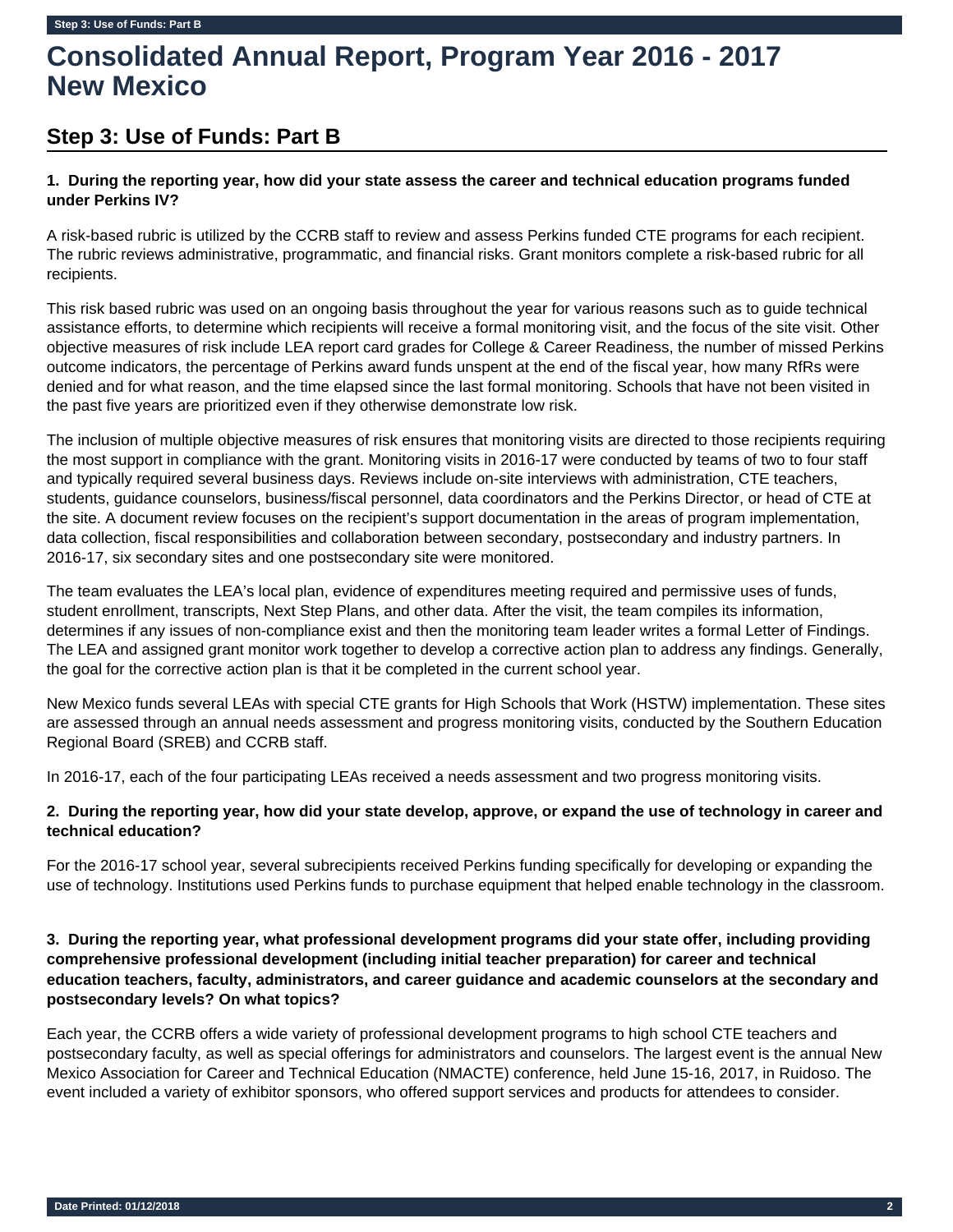# **Step 3: Use of Funds: Part B**

# **1. During the reporting year, how did your state assess the career and technical education programs funded under Perkins IV?**

A risk-based rubric is utilized by the CCRB staff to review and assess Perkins funded CTE programs for each recipient. The rubric reviews administrative, programmatic, and financial risks. Grant monitors complete a risk-based rubric for all recipients.

This risk based rubric was used on an ongoing basis throughout the year for various reasons such as to guide technical assistance efforts, to determine which recipients will receive a formal monitoring visit, and the focus of the site visit. Other objective measures of risk include LEA report card grades for College & Career Readiness, the number of missed Perkins outcome indicators, the percentage of Perkins award funds unspent at the end of the fiscal year, how many RfRs were denied and for what reason, and the time elapsed since the last formal monitoring. Schools that have not been visited in the past five years are prioritized even if they otherwise demonstrate low risk.

The inclusion of multiple objective measures of risk ensures that monitoring visits are directed to those recipients requiring the most support in compliance with the grant. Monitoring visits in 2016-17 were conducted by teams of two to four staff and typically required several business days. Reviews include on-site interviews with administration, CTE teachers, students, guidance counselors, business/fiscal personnel, data coordinators and the Perkins Director, or head of CTE at the site. A document review focuses on the recipient's support documentation in the areas of program implementation, data collection, fiscal responsibilities and collaboration between secondary, postsecondary and industry partners. In 2016-17, six secondary sites and one postsecondary site were monitored.

The team evaluates the LEA's local plan, evidence of expenditures meeting required and permissive uses of funds, student enrollment, transcripts, Next Step Plans, and other data. After the visit, the team compiles its information, determines if any issues of non-compliance exist and then the monitoring team leader writes a formal Letter of Findings. The LEA and assigned grant monitor work together to develop a corrective action plan to address any findings. Generally, the goal for the corrective action plan is that it be completed in the current school year.

New Mexico funds several LEAs with special CTE grants for High Schools that Work (HSTW) implementation. These sites are assessed through an annual needs assessment and progress monitoring visits, conducted by the Southern Education Regional Board (SREB) and CCRB staff.

In 2016-17, each of the four participating LEAs received a needs assessment and two progress monitoring visits.

## **2. During the reporting year, how did your state develop, approve, or expand the use of technology in career and technical education?**

For the 2016-17 school year, several subrecipients received Perkins funding specifically for developing or expanding the use of technology. Institutions used Perkins funds to purchase equipment that helped enable technology in the classroom.

## **3. During the reporting year, what professional development programs did your state offer, including providing comprehensive professional development (including initial teacher preparation) for career and technical education teachers, faculty, administrators, and career guidance and academic counselors at the secondary and postsecondary levels? On what topics?**

Each year, the CCRB offers a wide variety of professional development programs to high school CTE teachers and postsecondary faculty, as well as special offerings for administrators and counselors. The largest event is the annual New Mexico Association for Career and Technical Education (NMACTE) conference, held June 15-16, 2017, in Ruidoso. The event included a variety of exhibitor sponsors, who offered support services and products for attendees to consider.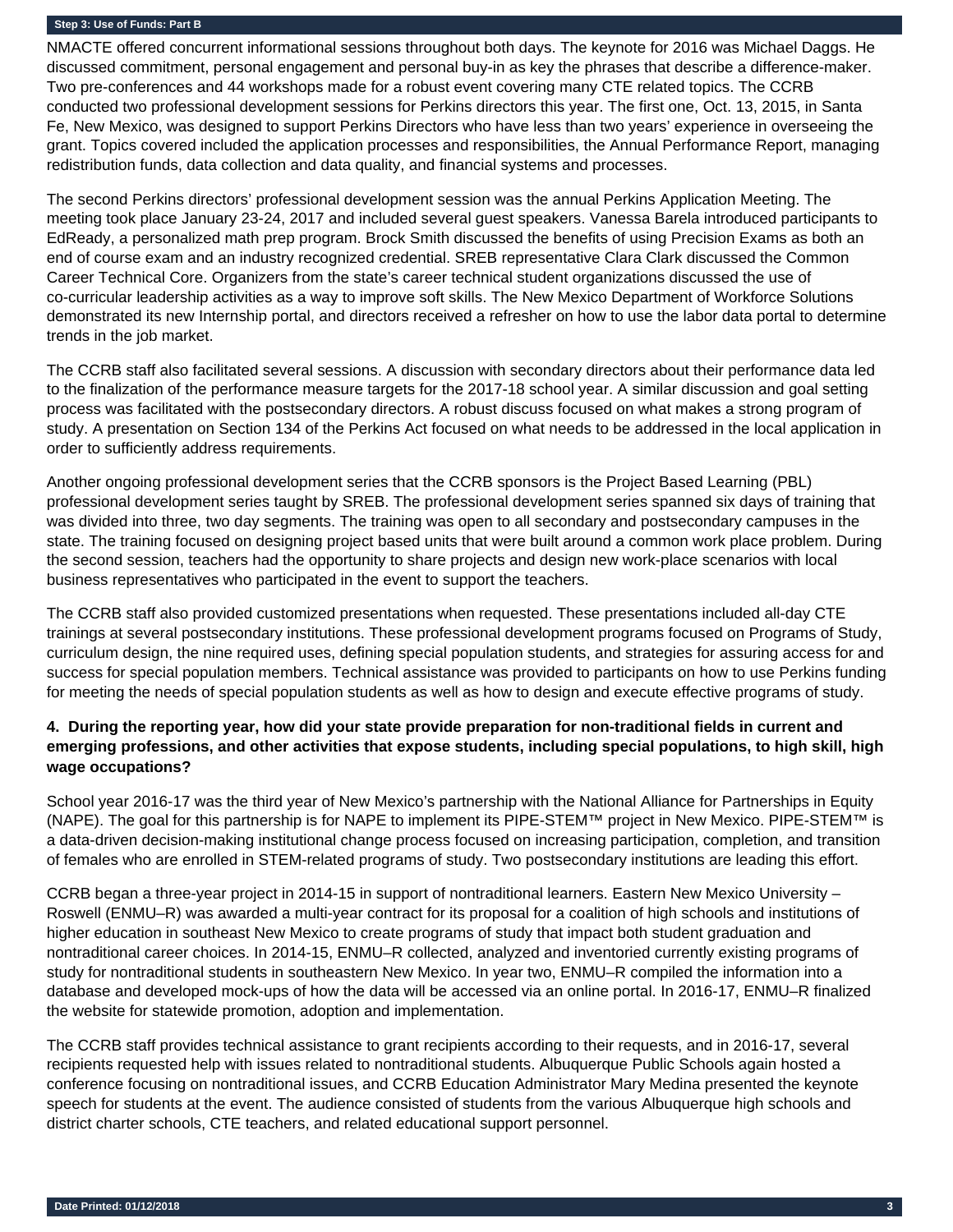#### **Step 3: Use of Funds: Part B**

NMACTE offered concurrent informational sessions throughout both days. The keynote for 2016 was Michael Daggs. He discussed commitment, personal engagement and personal buy-in as key the phrases that describe a difference-maker. Two pre-conferences and 44 workshops made for a robust event covering many CTE related topics. The CCRB conducted two professional development sessions for Perkins directors this year. The first one, Oct. 13, 2015, in Santa Fe, New Mexico, was designed to support Perkins Directors who have less than two years' experience in overseeing the grant. Topics covered included the application processes and responsibilities, the Annual Performance Report, managing redistribution funds, data collection and data quality, and financial systems and processes.

The second Perkins directors' professional development session was the annual Perkins Application Meeting. The meeting took place January 23-24, 2017 and included several guest speakers. Vanessa Barela introduced participants to EdReady, a personalized math prep program. Brock Smith discussed the benefits of using Precision Exams as both an end of course exam and an industry recognized credential. SREB representative Clara Clark discussed the Common Career Technical Core. Organizers from the state's career technical student organizations discussed the use of co-curricular leadership activities as a way to improve soft skills. The New Mexico Department of Workforce Solutions demonstrated its new Internship portal, and directors received a refresher on how to use the labor data portal to determine trends in the job market.

The CCRB staff also facilitated several sessions. A discussion with secondary directors about their performance data led to the finalization of the performance measure targets for the 2017-18 school year. A similar discussion and goal setting process was facilitated with the postsecondary directors. A robust discuss focused on what makes a strong program of study. A presentation on Section 134 of the Perkins Act focused on what needs to be addressed in the local application in order to sufficiently address requirements.

Another ongoing professional development series that the CCRB sponsors is the Project Based Learning (PBL) professional development series taught by SREB. The professional development series spanned six days of training that was divided into three, two day segments. The training was open to all secondary and postsecondary campuses in the state. The training focused on designing project based units that were built around a common work place problem. During the second session, teachers had the opportunity to share projects and design new work-place scenarios with local business representatives who participated in the event to support the teachers.

The CCRB staff also provided customized presentations when requested. These presentations included all-day CTE trainings at several postsecondary institutions. These professional development programs focused on Programs of Study, curriculum design, the nine required uses, defining special population students, and strategies for assuring access for and success for special population members. Technical assistance was provided to participants on how to use Perkins funding for meeting the needs of special population students as well as how to design and execute effective programs of study.

# **4. During the reporting year, how did your state provide preparation for non-traditional fields in current and emerging professions, and other activities that expose students, including special populations, to high skill, high wage occupations?**

School year 2016-17 was the third year of New Mexico's partnership with the National Alliance for Partnerships in Equity (NAPE). The goal for this partnership is for NAPE to implement its PIPE-STEM™ project in New Mexico. PIPE-STEM™ is a data-driven decision-making institutional change process focused on increasing participation, completion, and transition of females who are enrolled in STEM-related programs of study. Two postsecondary institutions are leading this effort.

CCRB began a three-year project in 2014-15 in support of nontraditional learners. Eastern New Mexico University – Roswell (ENMU–R) was awarded a multi-year contract for its proposal for a coalition of high schools and institutions of higher education in southeast New Mexico to create programs of study that impact both student graduation and nontraditional career choices. In 2014-15, ENMU–R collected, analyzed and inventoried currently existing programs of study for nontraditional students in southeastern New Mexico. In year two, ENMU–R compiled the information into a database and developed mock-ups of how the data will be accessed via an online portal. In 2016-17, ENMU–R finalized the website for statewide promotion, adoption and implementation.

The CCRB staff provides technical assistance to grant recipients according to their requests, and in 2016-17, several recipients requested help with issues related to nontraditional students. Albuquerque Public Schools again hosted a conference focusing on nontraditional issues, and CCRB Education Administrator Mary Medina presented the keynote speech for students at the event. The audience consisted of students from the various Albuquerque high schools and district charter schools, CTE teachers, and related educational support personnel.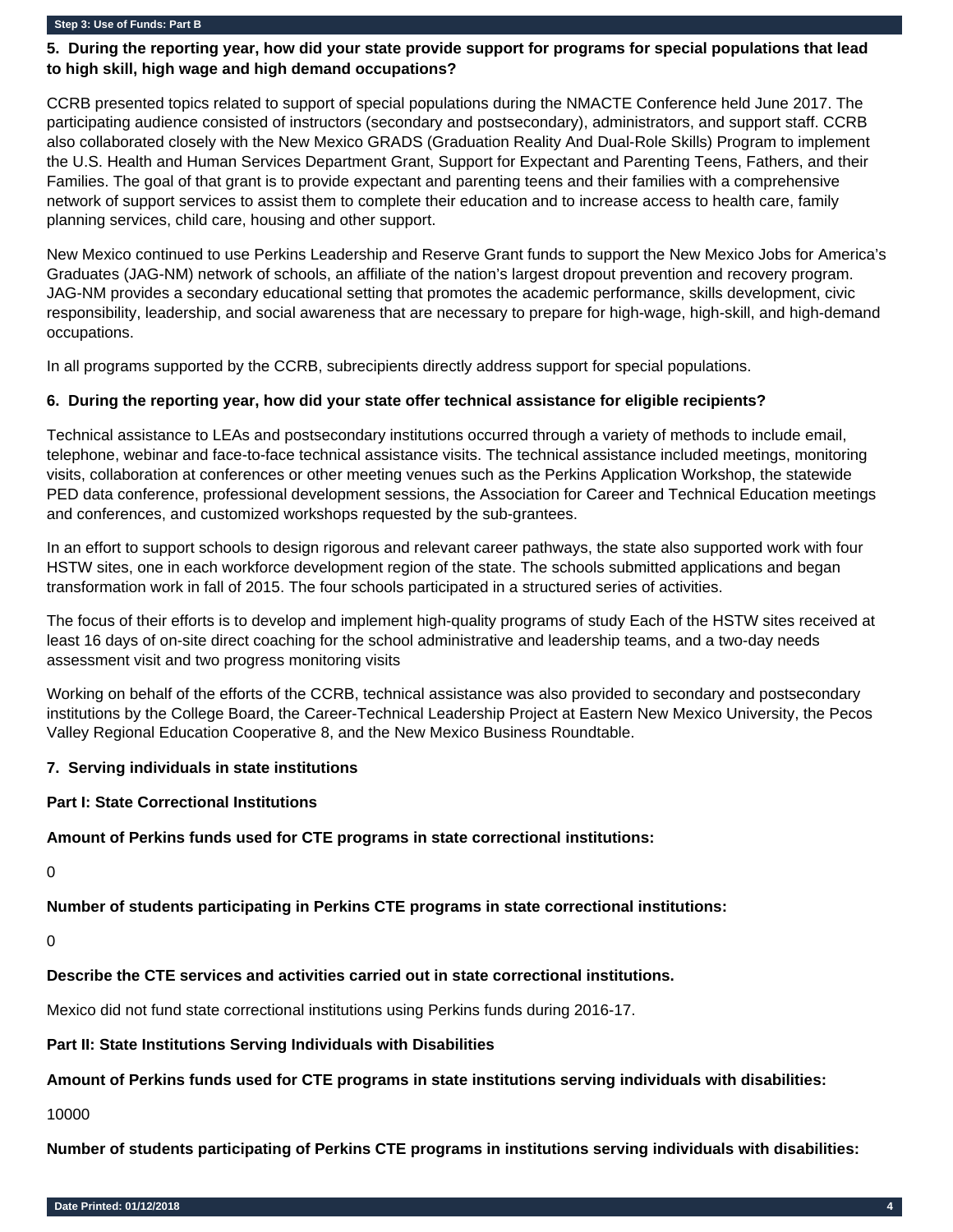#### **Step 3: Use of Funds: Part B**

### **5. During the reporting year, how did your state provide support for programs for special populations that lead to high skill, high wage and high demand occupations?**

CCRB presented topics related to support of special populations during the NMACTE Conference held June 2017. The participating audience consisted of instructors (secondary and postsecondary), administrators, and support staff. CCRB also collaborated closely with the New Mexico GRADS (Graduation Reality And Dual-Role Skills) Program to implement the U.S. Health and Human Services Department Grant, Support for Expectant and Parenting Teens, Fathers, and their Families. The goal of that grant is to provide expectant and parenting teens and their families with a comprehensive network of support services to assist them to complete their education and to increase access to health care, family planning services, child care, housing and other support.

New Mexico continued to use Perkins Leadership and Reserve Grant funds to support the New Mexico Jobs for America's Graduates (JAG-NM) network of schools, an affiliate of the nation's largest dropout prevention and recovery program. JAG-NM provides a secondary educational setting that promotes the academic performance, skills development, civic responsibility, leadership, and social awareness that are necessary to prepare for high-wage, high-skill, and high-demand occupations.

In all programs supported by the CCRB, subrecipients directly address support for special populations.

#### **6. During the reporting year, how did your state offer technical assistance for eligible recipients?**

Technical assistance to LEAs and postsecondary institutions occurred through a variety of methods to include email, telephone, webinar and face-to-face technical assistance visits. The technical assistance included meetings, monitoring visits, collaboration at conferences or other meeting venues such as the Perkins Application Workshop, the statewide PED data conference, professional development sessions, the Association for Career and Technical Education meetings and conferences, and customized workshops requested by the sub-grantees.

In an effort to support schools to design rigorous and relevant career pathways, the state also supported work with four HSTW sites, one in each workforce development region of the state. The schools submitted applications and began transformation work in fall of 2015. The four schools participated in a structured series of activities.

The focus of their efforts is to develop and implement high-quality programs of study Each of the HSTW sites received at least 16 days of on-site direct coaching for the school administrative and leadership teams, and a two-day needs assessment visit and two progress monitoring visits

Working on behalf of the efforts of the CCRB, technical assistance was also provided to secondary and postsecondary institutions by the College Board, the Career-Technical Leadership Project at Eastern New Mexico University, the Pecos Valley Regional Education Cooperative 8, and the New Mexico Business Roundtable.

#### **7. Serving individuals in state institutions**

#### **Part I: State Correctional Institutions**

#### **Amount of Perkins funds used for CTE programs in state correctional institutions:**

 $\Omega$ 

**Number of students participating in Perkins CTE programs in state correctional institutions:**

 $\Omega$ 

#### **Describe the CTE services and activities carried out in state correctional institutions.**

Mexico did not fund state correctional institutions using Perkins funds during 2016-17.

#### **Part II: State Institutions Serving Individuals with Disabilities**

**Amount of Perkins funds used for CTE programs in state institutions serving individuals with disabilities:** 

10000

**Number of students participating of Perkins CTE programs in institutions serving individuals with disabilities:**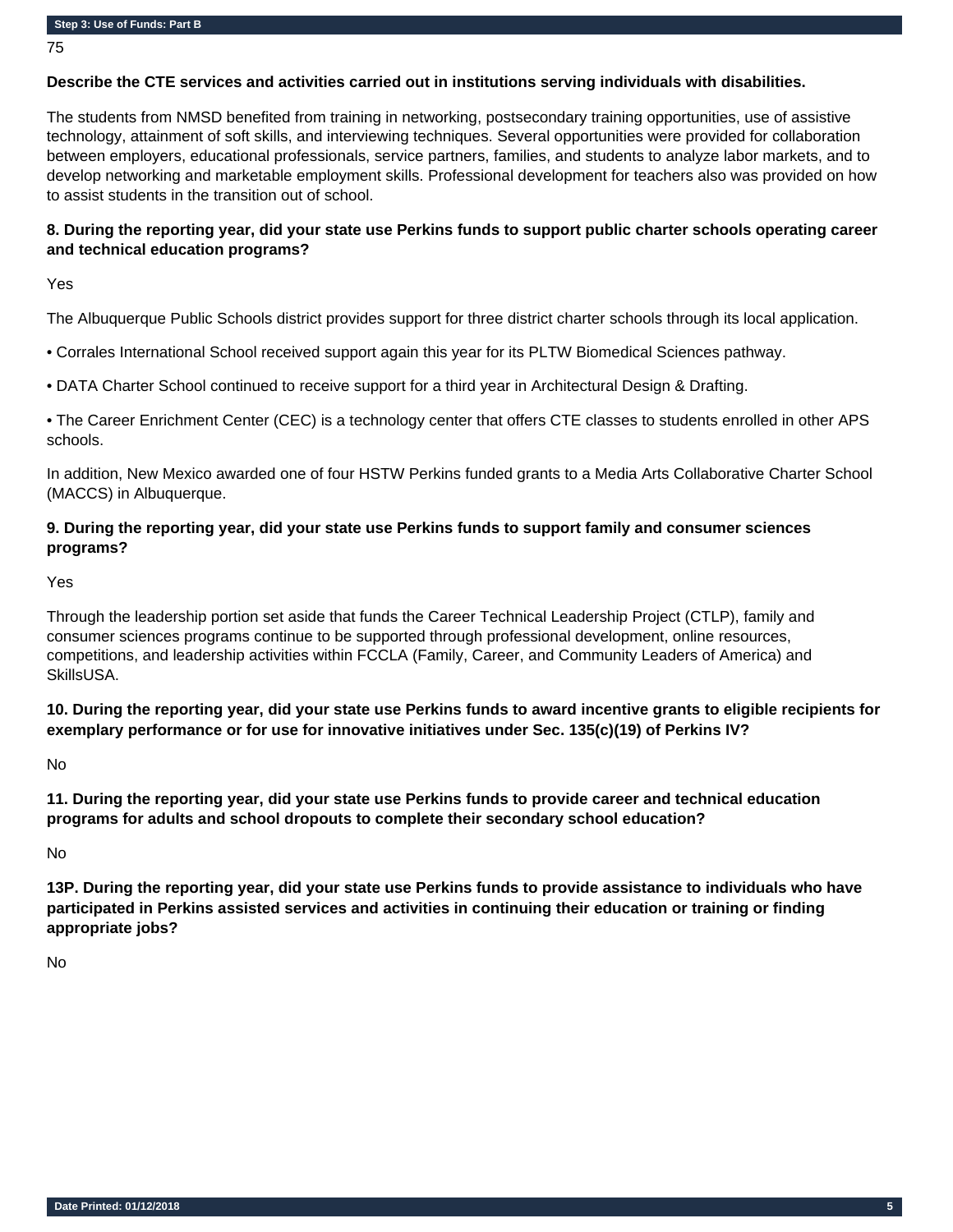75

#### **Describe the CTE services and activities carried out in institutions serving individuals with disabilities.**

The students from NMSD benefited from training in networking, postsecondary training opportunities, use of assistive technology, attainment of soft skills, and interviewing techniques. Several opportunities were provided for collaboration between employers, educational professionals, service partners, families, and students to analyze labor markets, and to develop networking and marketable employment skills. Professional development for teachers also was provided on how to assist students in the transition out of school.

### **8. During the reporting year, did your state use Perkins funds to support public charter schools operating career and technical education programs?**

Yes

The Albuquerque Public Schools district provides support for three district charter schools through its local application.

• Corrales International School received support again this year for its PLTW Biomedical Sciences pathway.

• DATA Charter School continued to receive support for a third year in Architectural Design & Drafting.

• The Career Enrichment Center (CEC) is a technology center that offers CTE classes to students enrolled in other APS schools.

In addition, New Mexico awarded one of four HSTW Perkins funded grants to a Media Arts Collaborative Charter School (MACCS) in Albuquerque.

### **9. During the reporting year, did your state use Perkins funds to support family and consumer sciences programs?**

Yes

Through the leadership portion set aside that funds the Career Technical Leadership Project (CTLP), family and consumer sciences programs continue to be supported through professional development, online resources, competitions, and leadership activities within FCCLA (Family, Career, and Community Leaders of America) and SkillsUSA.

**10. During the reporting year, did your state use Perkins funds to award incentive grants to eligible recipients for exemplary performance or for use for innovative initiatives under Sec. 135(c)(19) of Perkins IV?**

No

**11. During the reporting year, did your state use Perkins funds to provide career and technical education programs for adults and school dropouts to complete their secondary school education?** 

No

**13P. During the reporting year, did your state use Perkins funds to provide assistance to individuals who have participated in Perkins assisted services and activities in continuing their education or training or finding appropriate jobs?** 

No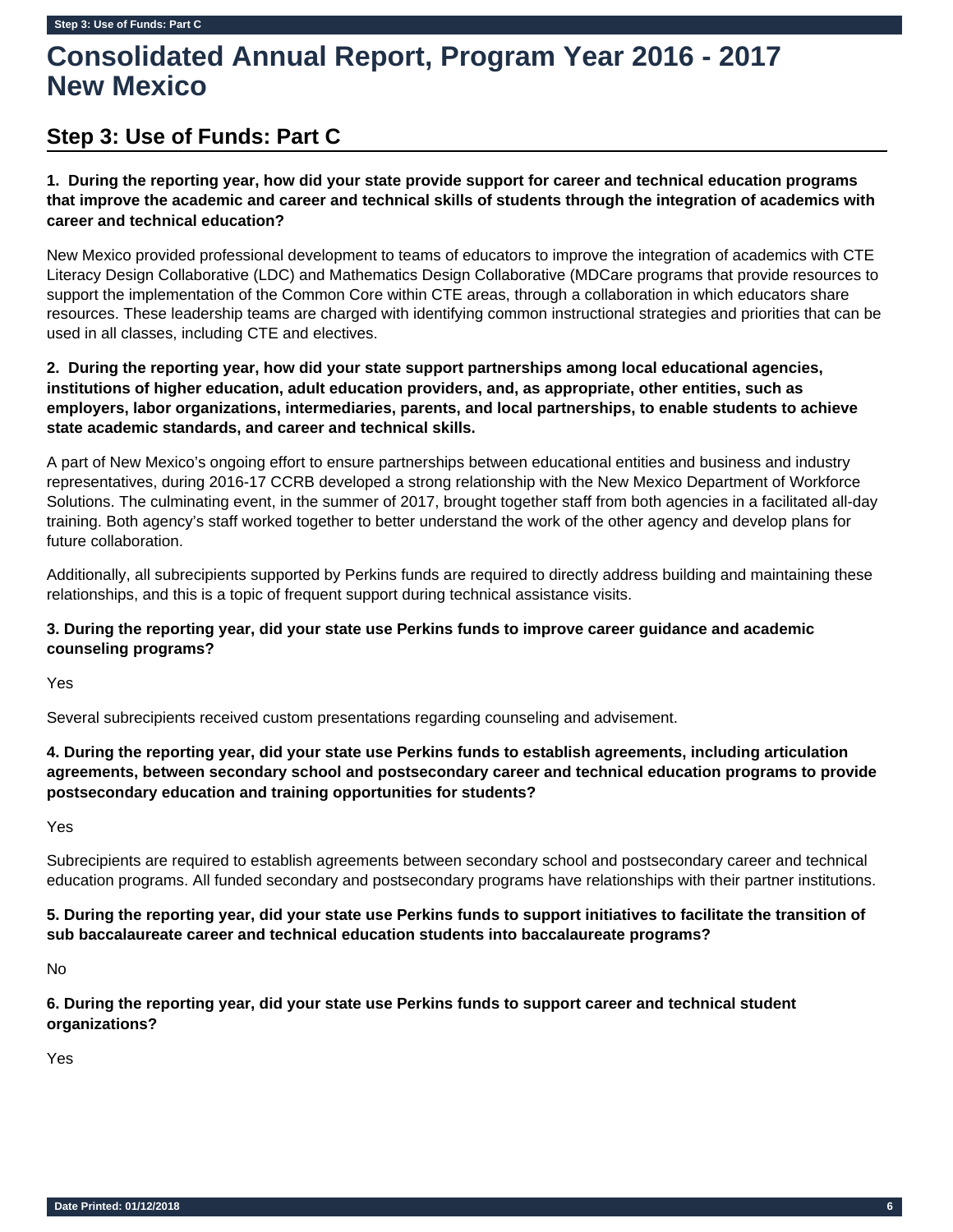# **Step 3: Use of Funds: Part C**

**1. During the reporting year, how did your state provide support for career and technical education programs that improve the academic and career and technical skills of students through the integration of academics with career and technical education?** 

New Mexico provided professional development to teams of educators to improve the integration of academics with CTE Literacy Design Collaborative (LDC) and Mathematics Design Collaborative (MDCare programs that provide resources to support the implementation of the Common Core within CTE areas, through a collaboration in which educators share resources. These leadership teams are charged with identifying common instructional strategies and priorities that can be used in all classes, including CTE and electives.

# **2. During the reporting year, how did your state support partnerships among local educational agencies, institutions of higher education, adult education providers, and, as appropriate, other entities, such as employers, labor organizations, intermediaries, parents, and local partnerships, to enable students to achieve state academic standards, and career and technical skills.**

A part of New Mexico's ongoing effort to ensure partnerships between educational entities and business and industry representatives, during 2016-17 CCRB developed a strong relationship with the New Mexico Department of Workforce Solutions. The culminating event, in the summer of 2017, brought together staff from both agencies in a facilitated all-day training. Both agency's staff worked together to better understand the work of the other agency and develop plans for future collaboration.

Additionally, all subrecipients supported by Perkins funds are required to directly address building and maintaining these relationships, and this is a topic of frequent support during technical assistance visits.

# **3. During the reporting year, did your state use Perkins funds to improve career guidance and academic counseling programs?**

Yes

Several subrecipients received custom presentations regarding counseling and advisement.

# **4. During the reporting year, did your state use Perkins funds to establish agreements, including articulation agreements, between secondary school and postsecondary career and technical education programs to provide postsecondary education and training opportunities for students?**

Yes

Subrecipients are required to establish agreements between secondary school and postsecondary career and technical education programs. All funded secondary and postsecondary programs have relationships with their partner institutions.

# **5. During the reporting year, did your state use Perkins funds to support initiatives to facilitate the transition of sub baccalaureate career and technical education students into baccalaureate programs?**

No

**6. During the reporting year, did your state use Perkins funds to support career and technical student organizations?**

Yes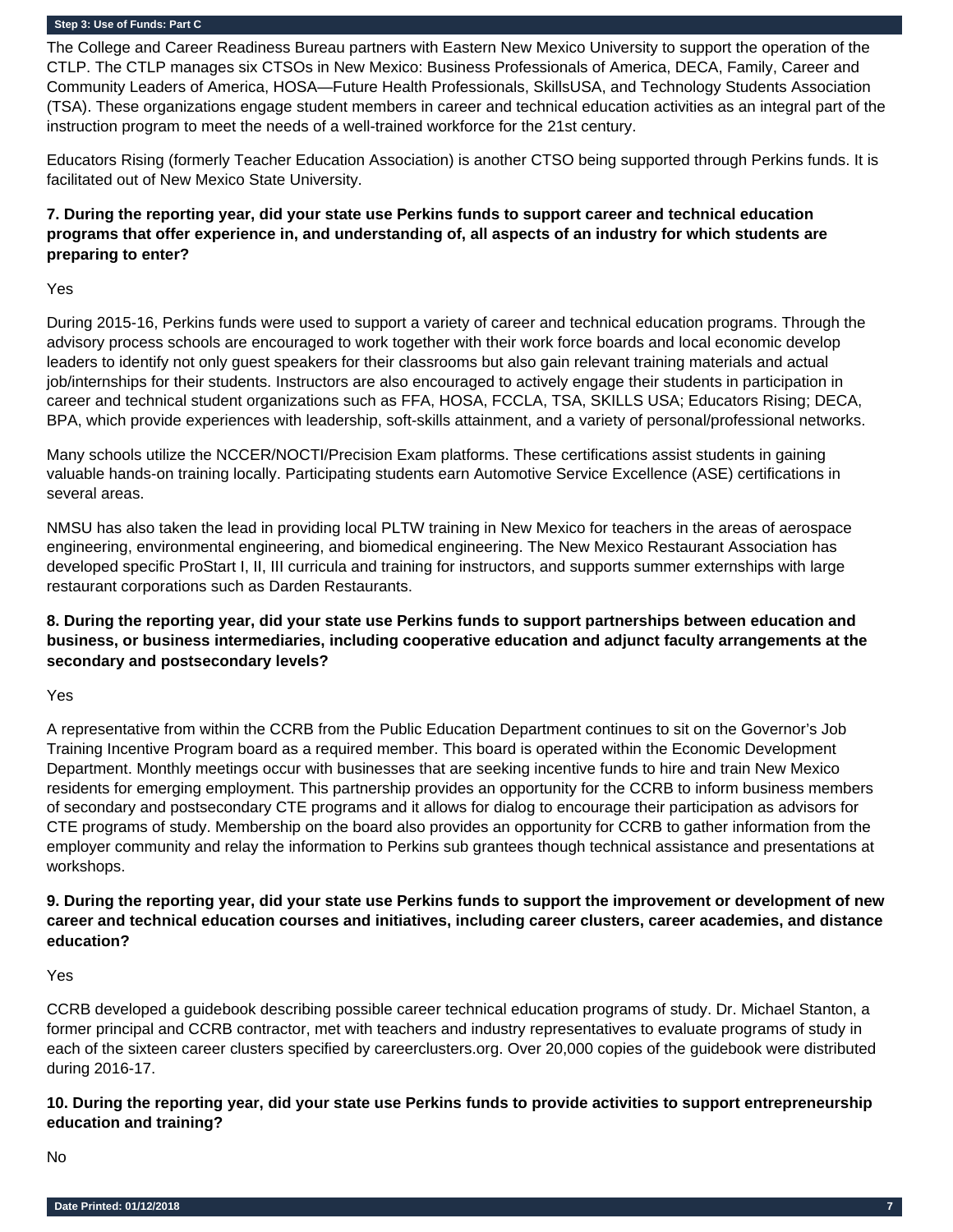#### **Step 3: Use of Funds: Part C**

The College and Career Readiness Bureau partners with Eastern New Mexico University to support the operation of the CTLP. The CTLP manages six CTSOs in New Mexico: Business Professionals of America, DECA, Family, Career and Community Leaders of America, HOSA—Future Health Professionals, SkillsUSA, and Technology Students Association (TSA). These organizations engage student members in career and technical education activities as an integral part of the instruction program to meet the needs of a well-trained workforce for the 21st century.

Educators Rising (formerly Teacher Education Association) is another CTSO being supported through Perkins funds. It is facilitated out of New Mexico State University.

# **7. During the reporting year, did your state use Perkins funds to support career and technical education programs that offer experience in, and understanding of, all aspects of an industry for which students are preparing to enter?**

Yes

During 2015-16, Perkins funds were used to support a variety of career and technical education programs. Through the advisory process schools are encouraged to work together with their work force boards and local economic develop leaders to identify not only guest speakers for their classrooms but also gain relevant training materials and actual job/internships for their students. Instructors are also encouraged to actively engage their students in participation in career and technical student organizations such as FFA, HOSA, FCCLA, TSA, SKILLS USA; Educators Rising; DECA, BPA, which provide experiences with leadership, soft-skills attainment, and a variety of personal/professional networks.

Many schools utilize the NCCER/NOCTI/Precision Exam platforms. These certifications assist students in gaining valuable hands-on training locally. Participating students earn Automotive Service Excellence (ASE) certifications in several areas.

NMSU has also taken the lead in providing local PLTW training in New Mexico for teachers in the areas of aerospace engineering, environmental engineering, and biomedical engineering. The New Mexico Restaurant Association has developed specific ProStart I, II, III curricula and training for instructors, and supports summer externships with large restaurant corporations such as Darden Restaurants.

**8. During the reporting year, did your state use Perkins funds to support partnerships between education and business, or business intermediaries, including cooperative education and adjunct faculty arrangements at the secondary and postsecondary levels?** 

Yes

A representative from within the CCRB from the Public Education Department continues to sit on the Governor's Job Training Incentive Program board as a required member. This board is operated within the Economic Development Department. Monthly meetings occur with businesses that are seeking incentive funds to hire and train New Mexico residents for emerging employment. This partnership provides an opportunity for the CCRB to inform business members of secondary and postsecondary CTE programs and it allows for dialog to encourage their participation as advisors for CTE programs of study. Membership on the board also provides an opportunity for CCRB to gather information from the employer community and relay the information to Perkins sub grantees though technical assistance and presentations at workshops.

## **9. During the reporting year, did your state use Perkins funds to support the improvement or development of new career and technical education courses and initiatives, including career clusters, career academies, and distance education?**

Yes

CCRB developed a guidebook describing possible career technical education programs of study. Dr. Michael Stanton, a former principal and CCRB contractor, met with teachers and industry representatives to evaluate programs of study in each of the sixteen career clusters specified by careerclusters.org. Over 20,000 copies of the guidebook were distributed during 2016-17.

### **10. During the reporting year, did your state use Perkins funds to provide activities to support entrepreneurship education and training?**

No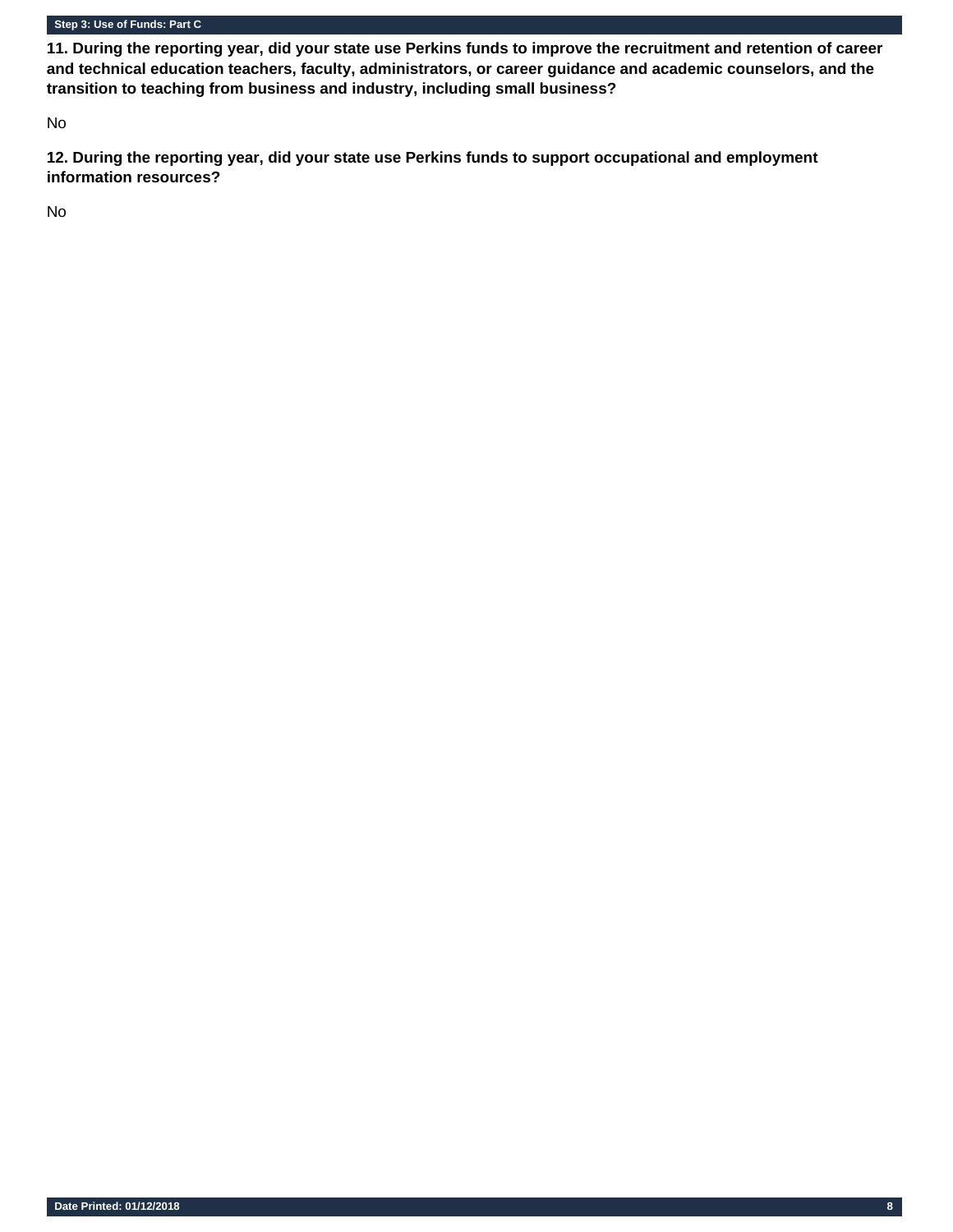#### **Step 3: Use of Funds: Part C**

**11. During the reporting year, did your state use Perkins funds to improve the recruitment and retention of career and technical education teachers, faculty, administrators, or career guidance and academic counselors, and the transition to teaching from business and industry, including small business?** 

No

**12. During the reporting year, did your state use Perkins funds to support occupational and employment information resources?** 

No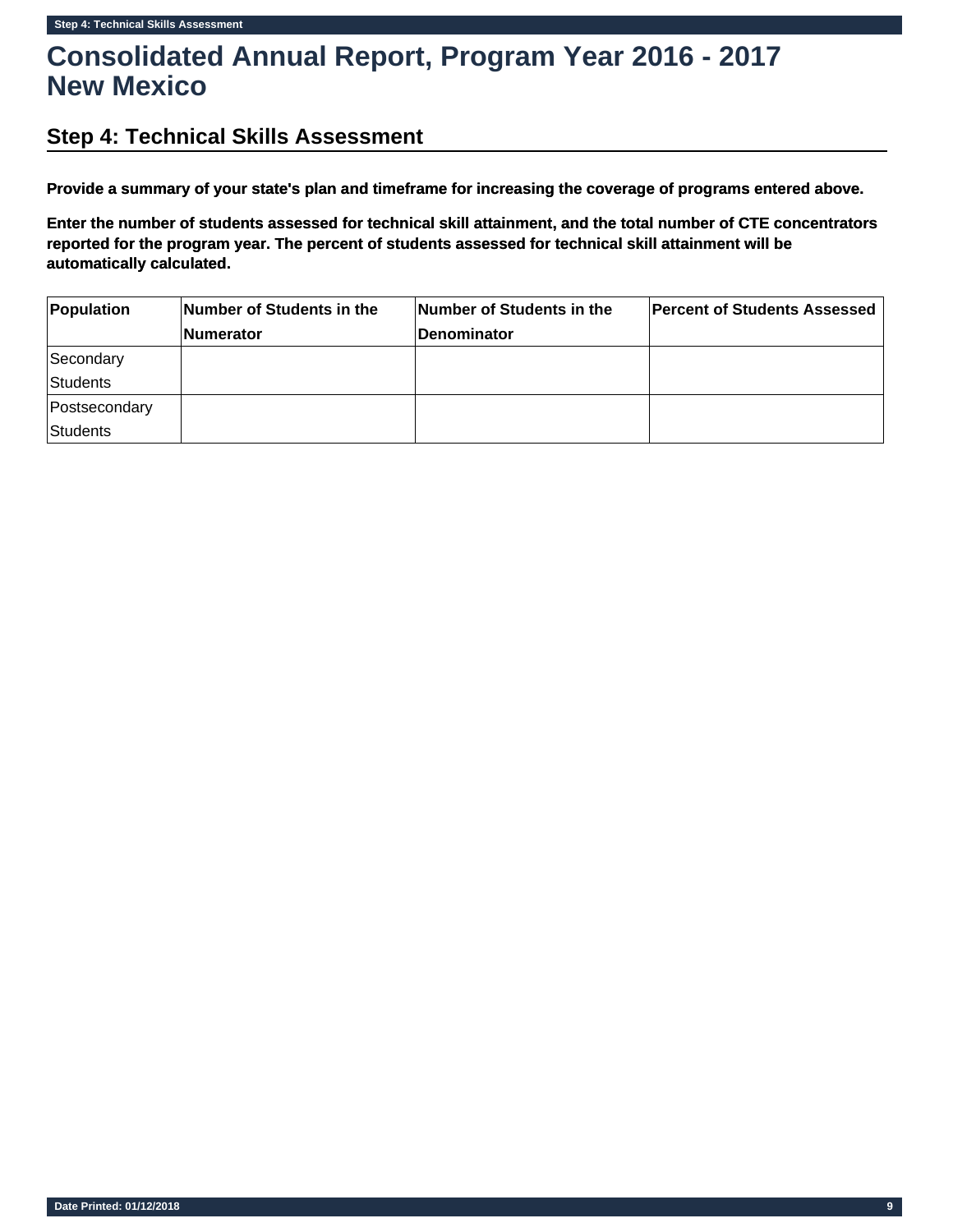# **Step 4: Technical Skills Assessment**

**Provide a summary of your state's plan and timeframe for increasing the coverage of programs entered above.**

**Enter the number of students assessed for technical skill attainment, and the total number of CTE concentrators reported for the program year. The percent of students assessed for technical skill attainment will be automatically calculated.**

| Population      | Number of Students in the | Number of Students in the | <b>Percent of Students Assessed</b> |
|-----------------|---------------------------|---------------------------|-------------------------------------|
|                 | <b>Numerator</b>          | <b>Denominator</b>        |                                     |
| Secondary       |                           |                           |                                     |
| <b>Students</b> |                           |                           |                                     |
| Postsecondary   |                           |                           |                                     |
| <b>Students</b> |                           |                           |                                     |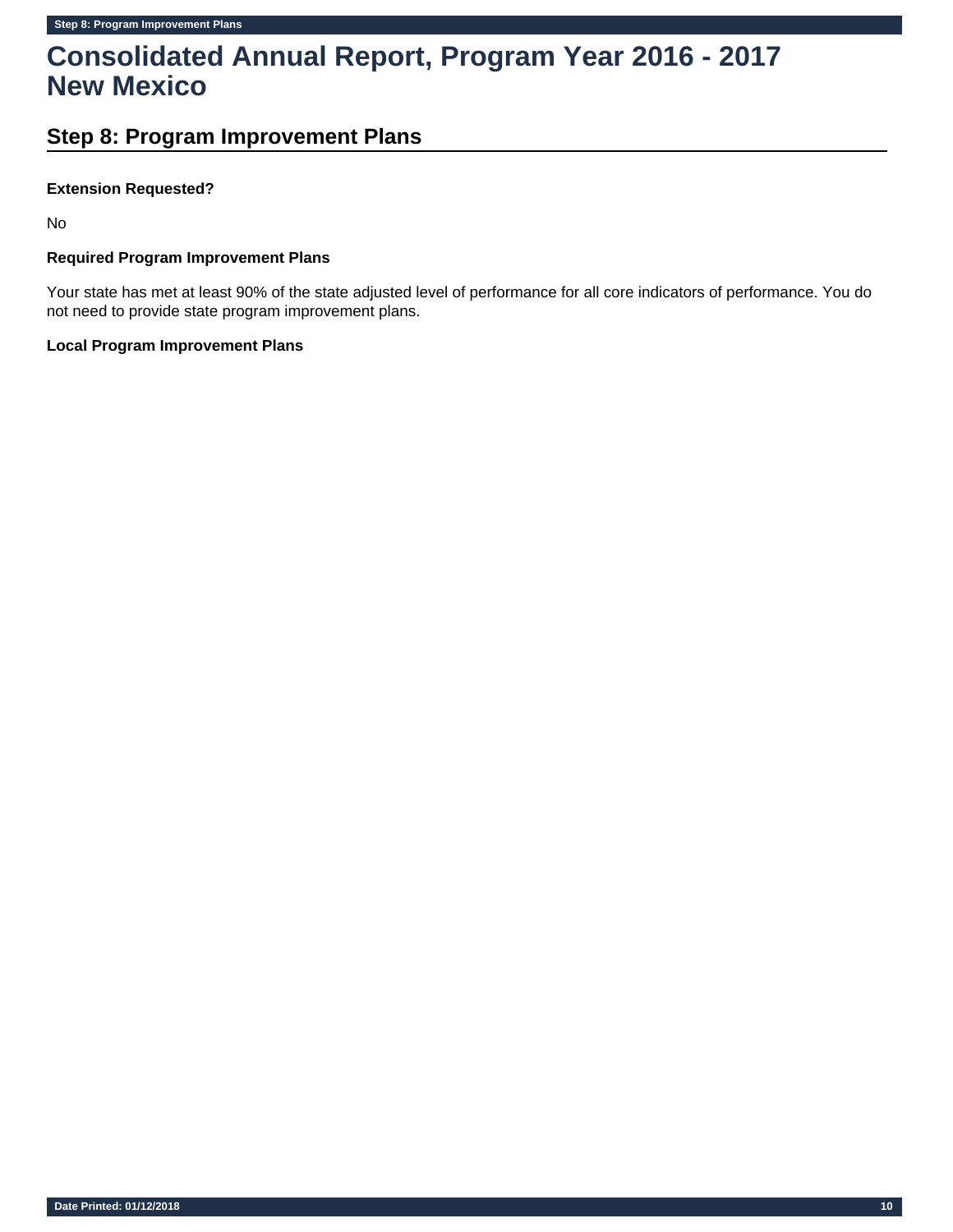# **Step 8: Program Improvement Plans**

### **Extension Requested?**

No

# **Required Program Improvement Plans**

Your state has met at least 90% of the state adjusted level of performance for all core indicators of performance. You do not need to provide state program improvement plans.

### **Local Program Improvement Plans**